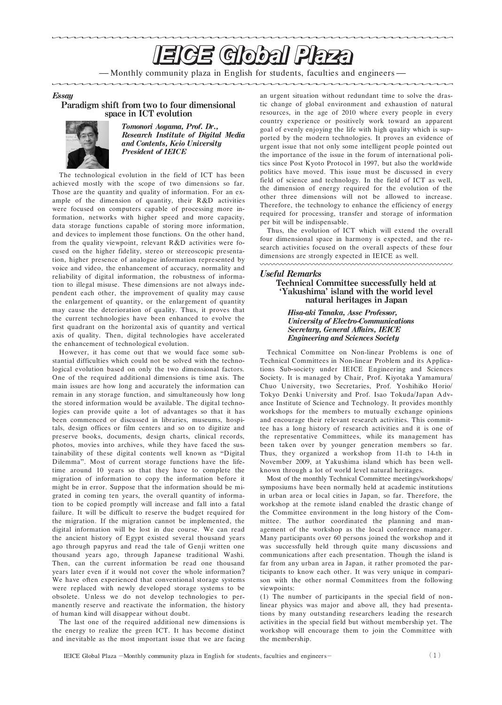# **IEICE GIobal Plaza**

- Monthly community plaza in English for students, faculties and engineers-

### **Essau**

#### Paradigm shift from two to four dimensional space in ICT evolution



Tomonori Aoyama, Prof. Dr., Research Institute of Digital Media and Contents, Keio University **President of IEICE** 

The technological evolution in the field of ICT has been achieved mostly with the scope of two dimensions so far. Those are the quantity and quality of information. For an ex ample of the dimension of quantity, their  $R & D$  activities were focused on computers capable of processing more in formation, networks with higher speed and more capacity, data storage functions capable of storing more information, and devices to implement those functions. On the other hand, from the quality viewpoint, relevant R&D activities were focused on the higher fidelity, stereo or stereoscopic presenta tion, higher presence of analogue information represented by voice and video, the enhancement of accuracy, normality and reliability of digital information, the robustness of informa tion to illegal misuse. These dimensions are not always inde pendent each other, the improvement of quality may cause the enlargement of quantity, or the enlargement of quantity may cause the deterioration of quality. Thus, it proves that the current technologies have been enhanced to evolve the first quadrant on the horizontal axis of quantity and vertical axis of quality. Then, digital technologies have accelerated the enhancement of technological evolution.

However, it has come out that we would face some substantial difficulties which could not be solved with the techno logical evolution based on only the two dimensional factors. One of the required additional dimensions is time axis. The main issues are how long and accurately the information can remain in any storage function, and simultaneously how long the stored information would be available. The digital techno logies can provide quite a lot of advantages so that it has been commenced or discussed in libraries, museums, hospi tals, design offices or film centers and so on to digitize and preserve books, documents, design charts, clinical records, photos, movies into archives, while they have faced the sus tainability of these digital contents well known as "Digital Dilemma". Most of current storage functions have the lifetime around 10 years so that they have to complete the migration of information to copy the information before it might be in error. Suppose that the information should be mi grated in coming ten years, the overall quantity of informa tion to be copied promptly will increase and fall into a fatal failure. It will be difficult to reserve the budget required for the migration. If the migration cannot be implemented, the digital information will be lost in due course. We can read the ancient history of Egypt existed several thousand years ago through papyrus and read the tale of Genji written one thousand years ago, through Japanese traditional Washi. Then, can the current information be read one thousand years later even if it would not cover the whole information We have often experienced that conventional storage systems were replaced with newly developed storage systems to be obsolete. Unless we do not develop technologies to permanently reserve and reactivate the information, the history of human kind will disappear without doubt.

The last one of the required additional new dimensions is the energy to realize the green ICT. It has become distinct and inevitable as the most important issue that we are facing

an urgent situation without redundant time to solve the dras tic change of global environment and exhaustion of natural resources, in the age of 2010 where every people in every country experience or positively work toward an apparent goal of evenly enjoying the life with high quality which is sup ported by the modern technologies. It proves an evidence of urgent issue that not only some intelligent people pointed out the importance of the issue in the forum of international poli tics since Post Kyoto Protocol in 1997, but also the worldwide politics have moved. This issue must be discussed in every field of science and technology. In the field of ICT as well, the dimension of energy required for the evolution of the other three dimensions will not be allowed to increase. Therefore, the technology to enhance the efficiency of energy required for processing, transfer and storage of information per bit will be indispensable.

Thus, the evolution of ICT which will extend the overall four dimensional space in harmony is expected, and the re search activities focused on the overall aspects of these four dimensions are strongly expected in IE ICE as well.

## **Useful Remarks**

#### **Technical Committee successfully held at** 'Yakushima' island with the world level natural heritages in Japan

Hisa-aki Tanaka, Assc Professor, **University of Electro-Communications Secretary, General Affairs, IEICE Engineering and Sciences Society** 

Technical Committee on Non linear Problems is one of Technical Committees in Non-linear Problem and its Applications Sub-society under IEICE Engineering and Sciences Society. It is managed by Chair, Prof. Kiyotaka Yamamura Chuo University, two Secretaries, Prof. Yoshihiko Horio/ Tokyo Denki University and Prof. Isao Tokuda/Japan Advance Institute of Science and Technology. It provides monthly workshops for the members to mutually exchange opinions and encourage their relevant research activities. This commit tee has a long history of research activities and it is one of the representative Committees, while its management has been taken over by younger generation members so far. Thus, they organized a workshop from 11-th to 14-th in November 2009, at Yakushima island which has been well known through a lot of world level natural heritages.

Most of the monthly Technical Committee meetings/workshops/ symposiums have been normally held at academic institutions in urban area or local cities in Japan, so far. Therefore, the workshop at the remote island enabled the drastic change of the Committee environment in the long history of the Com mittee. The author coordinated the planning and man agement of the workshop as the local conference manager. Many participants over 60 persons joined the workshop and it was successfully held through quite many discussions and communications after each presentation. Though the island is far from any urban area in Japan, it rather promoted the par ticipants to know each other. It was very unique in compari son with the other normal Committees from the following viewpoints:

(1) The number of participants in the special field of non linear physics was major and above all, they had presenta tions by many outstanding researchers leading the research activities in the special field but without membership yet. The workshop will encourage them to join the Committee with the membership.